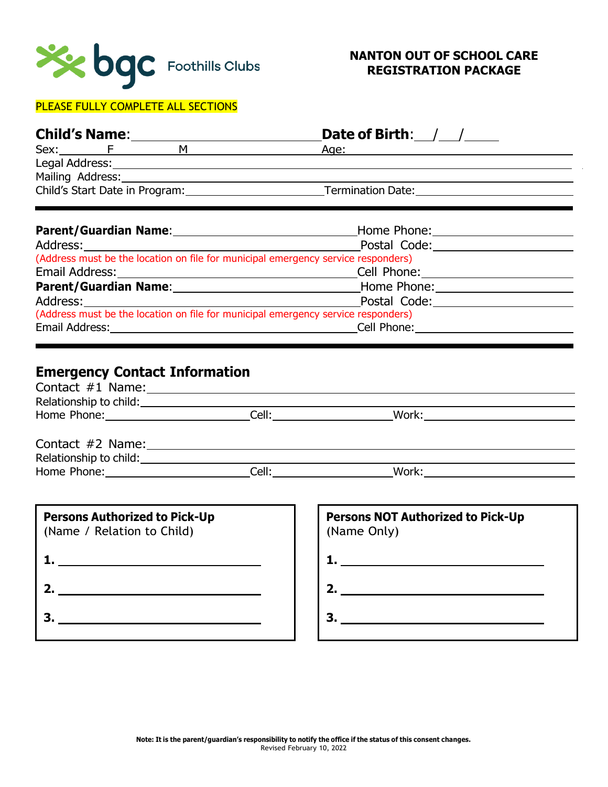

### PLEASE FULLY COMPLETE ALL SECTIONS

| <b>Child's Name:</b>           |                  |   | Date of Birth: $/$ /     |
|--------------------------------|------------------|---|--------------------------|
|                                | Sex: F           | м | Age:                     |
| Legal Address:                 |                  |   |                          |
|                                | Mailing Address: |   |                          |
| Child's Start Date in Program: |                  |   | <b>Termination Date:</b> |

| Parent/Guardian Name:<br>and the contract of the contract of the contract of the contract of the contract of the contract of the contract of the contract of the contract of the contract of the contract of the contract of the | Home Phone:                                 |  |  |  |  |
|----------------------------------------------------------------------------------------------------------------------------------------------------------------------------------------------------------------------------------|---------------------------------------------|--|--|--|--|
|                                                                                                                                                                                                                                  | Postal Code:                                |  |  |  |  |
| (Address must be the location on file for municipal emergency service responders)                                                                                                                                                |                                             |  |  |  |  |
|                                                                                                                                                                                                                                  | Cell Phone: <u>________________________</u> |  |  |  |  |
| Parent/Guardian Name: Manuel Allen Manuel Manuel Manuel Manuel Manuel Manuel Manuel Manuel Manuel Manuel Manuel                                                                                                                  | Home Phone: 1990                            |  |  |  |  |
|                                                                                                                                                                                                                                  | Postal Code:                                |  |  |  |  |
| (Address must be the location on file for municipal emergency service responders)                                                                                                                                                |                                             |  |  |  |  |
| Email Address:                                                                                                                                                                                                                   | Cell Phone:                                 |  |  |  |  |
|                                                                                                                                                                                                                                  |                                             |  |  |  |  |

# **Emergency Contact Information**

| Relationship to child:<br><u>Letting the set of the set of the set of the set of the set of the set of the set of the set of the set of the set of the set of the set of the set of the set of the set of the set of the set of th</u> |                                                         |
|----------------------------------------------------------------------------------------------------------------------------------------------------------------------------------------------------------------------------------------|---------------------------------------------------------|
| Home Phone: _______________________________Cell: ___________________________Work:                                                                                                                                                      |                                                         |
|                                                                                                                                                                                                                                        |                                                         |
|                                                                                                                                                                                                                                        |                                                         |
|                                                                                                                                                                                                                                        |                                                         |
| <b>Persons Authorized to Pick-Up</b><br>(Name / Relation to Child)                                                                                                                                                                     | <b>Persons NOT Authorized to Pick-Up</b><br>(Name Only) |
|                                                                                                                                                                                                                                        |                                                         |

**2.**

**3.**

- 
- **3.**

**2.**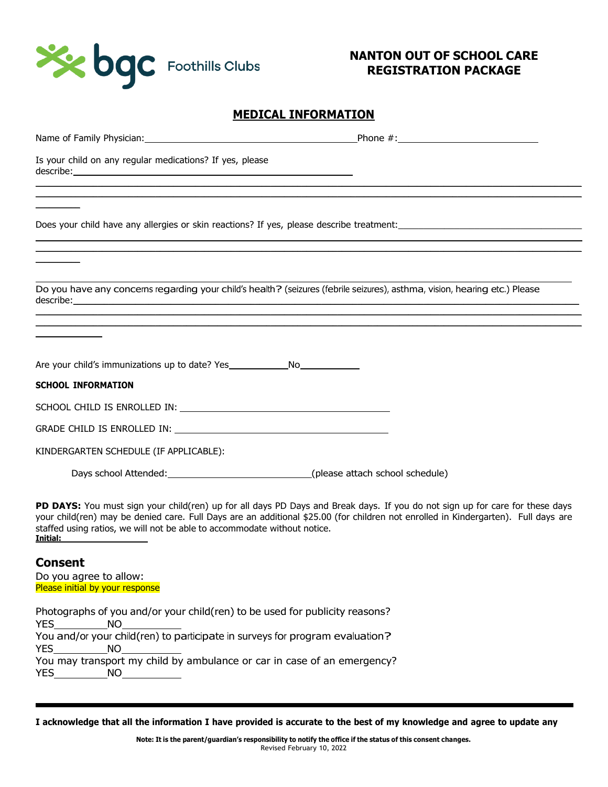

### **MEDICAL INFORMATION**

I acknowledge that all the information I have provided is accurate to the best of my knowledge and agree to update any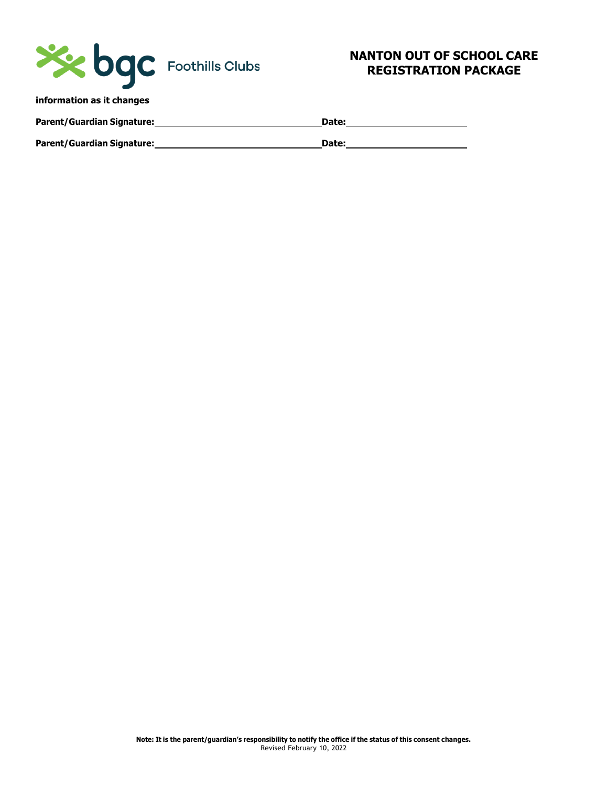

| <b>Parent/Guardian Signature:</b> | Date: |
|-----------------------------------|-------|
| <b>Parent/Guardian Signature:</b> | Date: |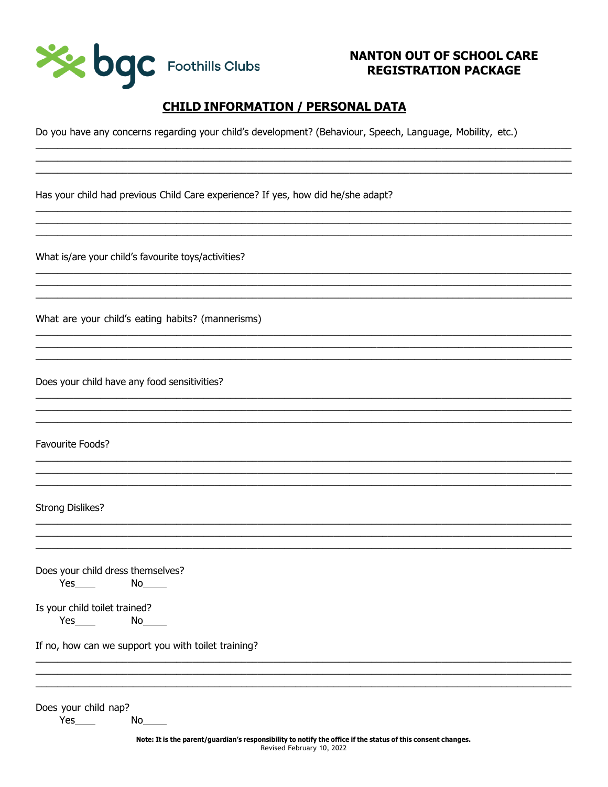

# **CHILD INFORMATION / PERSONAL DATA**

Do you have any concerns regarding your child's development? (Behaviour, Speech, Language, Mobility, etc.)

Has your child had previous Child Care experience? If yes, how did he/she adapt?

What is/are your child's favourite toys/activities?

What are your child's eating habits? (mannerisms)

Does your child have any food sensitivities?

Favourite Foods?

**Strong Dislikes?** 

Does your child dress themselves?  $Yes$   $No$   $No$ 

Is your child toilet trained?  $Yes$  and  $X$ 

If no, how can we support you with toilet training?

Does your child nap? Yes

No l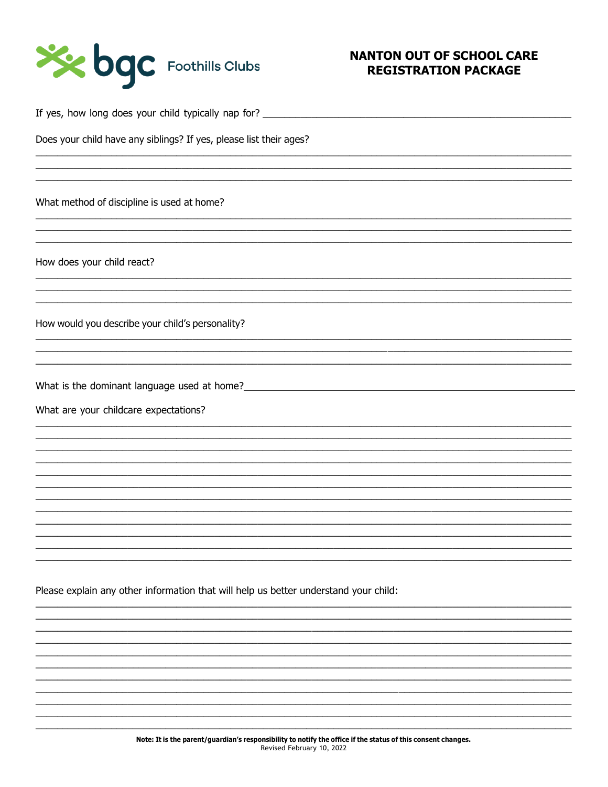

Does your child have any siblings? If yes, please list their ages? What method of discipline is used at home?

How does your child react?

How would you describe your child's personality?

What are your childcare expectations?

Please explain any other information that will help us better understand your child: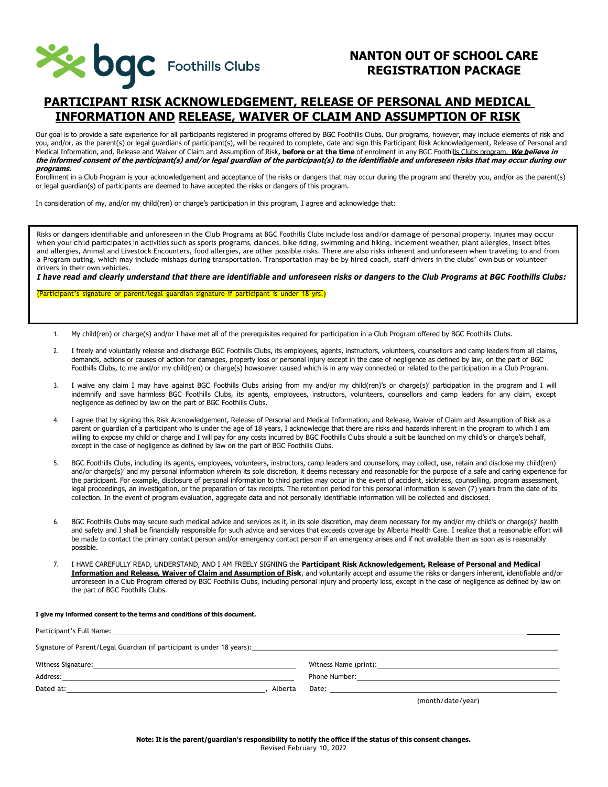

### **PARTICIPANT RISK ACKNOWLEDGEMENT, RELEASE OF PERSONAL AND MEDICAL INFORMATION AND RELEASE, WAIVER OF CLAIM AND ASSUMPTION OF RISK**

Our goal is to provide a safe experience for all participants registered in programs offered by BGC Foothills Clubs. Our programs, however, may include elements of risk and you, and/or, as the parent(s) or legal guardians of participant(s), will be required to complete, date and sign this Participant Risk Acknowledgement, Release of Personal and Medical Information, and, Release and Waiver of Claim and Assumption of Risk**, before or at the time** of enrolment in any BGC Foothills Clubs program. **We believe in the informed consent of the participant(s) and/or legal guardian of the participant(s) to the identifiable and unforeseen risks that may occur during our programs.**

Enrollment in a Club Program is your acknowledgement and acceptance of the risks or dangers that may occur during the program and thereby you, and/or as the parent(s) or legal guardian(s) of participants are deemed to have accepted the risks or dangers of this program.

In consideration of my, and/or my child(ren) or charge's participation in this program, I agree and acknowledge that:

Risks or dangers identifiable and unforeseen in the Club Programs at BGC Foothills Clubs include loss and/or damage of personal property. Injuries may occur when your child participates in activities such as sports programs, dances, bike riding, swimming and hiking. Inclement weather, plant allergies, insect bites and allergies, Animal and Livestock Encounters, food allergies, are other possible risks. There are also risks inherent and unforeseen when traveling to and from a Program outing, which may include mishaps during transportation. Transportation may be by hired coach, staff drivers in the clubs' own bus or volunteer drivers in their own vehicles.

*I have read and clearly understand that there are identifiable and unforeseen risks or dangers to the Club Programs at BGC Foothills Clubs:*

(Participant's signature or parent/legal guardian signature if participant is under 18 yrs.)

- 1. My child(ren) or charge(s) and/or I have met all of the prerequisites required for participation in a Club Program offered by BGC Foothills Clubs.
- 2. I freely and voluntarily release and discharge BGC Foothills Clubs, its employees, agents, instructors, volunteers, counsellors and camp leaders from all claims, demands, actions or causes of action for damages, property loss or personal injury except in the case of negligence as defined by law, on the part of BGC Foothills Clubs, to me and/or my child(ren) or charge(s) howsoever caused which is in any way connected or related to the participation in a Club Program.
- 3. I waive any claim I may have against BGC Foothills Clubs arising from my and/or my child(ren)'s or charge(s)' participation in the program and I will indemnify and save harmless BGC Foothills Clubs, its agents, employees, instructors, volunteers, counsellors and camp leaders for any claim, except negligence as defined by law on the part of BGC Foothills Clubs.
- 4. I agree that by signing this Risk Acknowledgement, Release of Personal and Medical Information, and Release, Waiver of Claim and Assumption of Risk as a parent or guardian of a participant who is under the age of 18 years, I acknowledge that there are risks and hazards inherent in the program to which I am willing to expose my child or charge and I will pay for any costs incurred by BGC Foothills Clubs should a suit be launched on my child's or charge's behalf, except in the case of negligence as defined by law on the part of BGC Foothills Clubs.
- 5. BGC Foothills Clubs, including its agents, employees, volunteers, instructors, camp leaders and counsellors, may collect, use, retain and disclose my child(ren) and/or charge(s)' and my personal information wherein its sole discretion, it deems necessary and reasonable for the purpose of a safe and caring experience for the participant. For example, disclosure of personal information to third parties may occur in the event of accident, sickness, counselling, program assessment, legal proceedings, an investigation, or the preparation of tax receipts. The retention period for this personal information is seven (7) years from the date of its collection. In the event of program evaluation, aggregate data and not personally identifiable information will be collected and disclosed.
- 6. BGC Foothills Clubs may secure such medical advice and services as it, in its sole discretion, may deem necessary for my and/or my child's or charge(s)' health and safety and I shall be financially responsible for such advice and services that exceeds coverage by Alberta Health Care. I realize that a reasonable effort will be made to contact the primary contact person and/or emergency contact person if an emergency arises and if not available then as soon as is reasonably possible.
- 7. I HAVE CAREFULLY READ, UNDERSTAND, AND I AM FREELY SIGNING the **Participant Risk Acknowledgement, Release of Personal and Medical Information and Release, Waiver of Claim and Assumption of Risk**, and voluntarily accept and assume the risks or dangers inherent, identifiable and/or unforeseen in a Club Program offered by BGC Foothills Clubs, including personal injury and property loss, except in the case of negligence as defined by law on the part of BGC Foothills Clubs.

#### **I give my informed consent to the terms and conditions of this document.**

| Signature of Parent/Legal Guardian (if participant is under 18 years): [14] Campion Commonwealth Commonwealth Commonwealth Commonwealth Commonwealth Commonwealth Commonwealth Commonwealth Commonwealth Commonwealth Commonwe |         |                                                                                                                                                                                                                               |
|--------------------------------------------------------------------------------------------------------------------------------------------------------------------------------------------------------------------------------|---------|-------------------------------------------------------------------------------------------------------------------------------------------------------------------------------------------------------------------------------|
| Witness Signature:                                                                                                                                                                                                             |         | Witness Name (print):                                                                                                                                                                                                         |
| Address:                                                                                                                                                                                                                       |         | Phone Number: the contract of the contract of the contract of the contract of the contract of the contract of the contract of the contract of the contract of the contract of the contract of the contract of the contract of |
| Dated at:                                                                                                                                                                                                                      | Alberta |                                                                                                                                                                                                                               |

(month/date/year)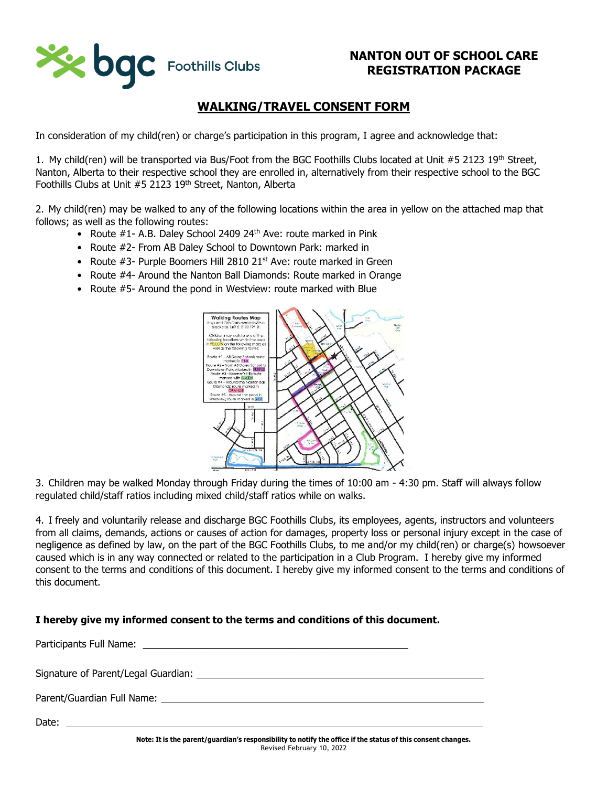

# **WALKING/TRAVEL CONSENT FORM**

In consideration of my child(ren) or charge's participation in this program, I agree and acknowledge that:

1. My child(ren) will be transported via Bus/Foot from the BGC Foothills Clubs located at Unit #5 2123 19th Street, Nanton, Alberta to their respective school they are enrolled in, alternatively from their respective school to the BGC Foothills Clubs at Unit #5 2123 19<sup>th</sup> Street, Nanton, Alberta

2. My child(ren) may be walked to any of the following locations within the area in yellow on the attached map that follows; as well as the following routes:

- Route #1- A.B. Daley School 2409 24<sup>th</sup> Ave: route marked in Pink
- Route #2- From AB Daley School to Downtown Park: marked in
- Route  $#3$  Purple Boomers Hill 2810 21<sup>st</sup> Ave: route marked in Green
- Route #4- Around the Nanton Ball Diamonds: Route marked in Orange
- Route #5- Around the pond in Westview: route marked with Blue



3. Children may be walked Monday through Friday during the times of 10:00 am - 4:30 pm. Staff will always follow regulated child/staff ratios including mixed child/staff ratios while on walks.

4. I freely and voluntarily release and discharge BGC Foothills Clubs, its employees, agents, instructors and volunteers from all claims, demands, actions or causes of action for damages, property loss or personal injury except in the case of negligence as defined by law, on the part of the BGC Foothills Clubs, to me and/or my child(ren) or charge(s) howsoever caused which is in any way connected or related to the participation in a Club Program. I hereby give my informed consent to the terms and conditions of this document. I hereby give my informed consent to the terms and conditions of this document.

### **I hereby give my informed consent to the terms and conditions of this document.**

Participants Full Name: **Example 2018** 

Signature of Parent/Legal Guardian:

Parent/Guardian Full Name:

Date: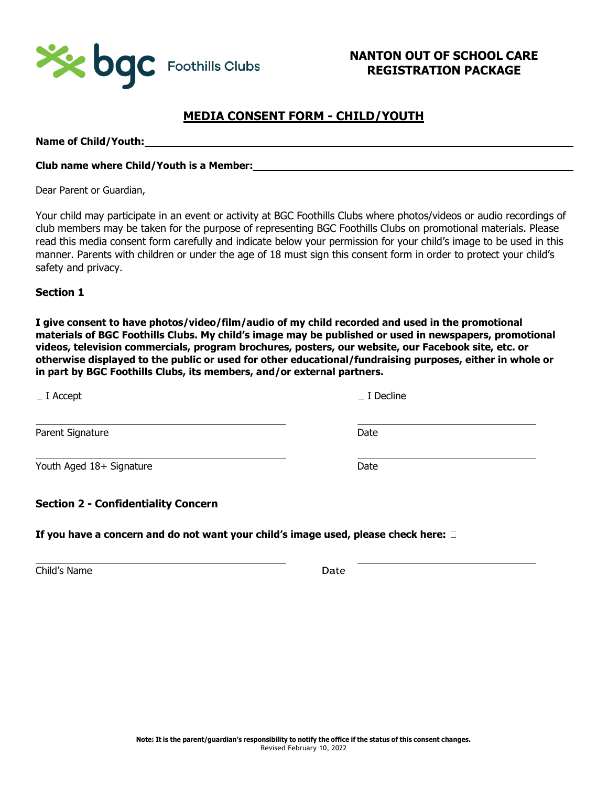

# **MEDIA CONSENT FORM - CHILD/YOUTH**

**Name of Child/Youth:**

### **Club name where Child/Youth is a Member:**

Dear Parent or Guardian,

Your child may participate in an event or activity at BGC Foothills Clubs where photos/videos or audio recordings of club members may be taken for the purpose of representing BGC Foothills Clubs on promotional materials. Please read this media consent form carefully and indicate below your permission for your child's image to be used in this manner. Parents with children or under the age of 18 must sign this consent form in order to protect your child's safety and privacy.

**Section 1**

**I give consent to have photos/video/film/audio of my child recorded and used in the promotional materials of BGC Foothills Clubs. My child's image may be published or used in newspapers, promotional videos, television commercials, program brochures, posters, our website, our Facebook site, etc. or otherwise displayed to the public or used for other educational/fundraising purposes, either in whole or in part by BGC Foothills Clubs, its members, and/or external partners.**

| $\sqsubset$ I Accept                       | $\sqsubset$ I Decline |  |
|--------------------------------------------|-----------------------|--|
| Parent Signature                           | Date                  |  |
| Youth Aged 18+ Signature                   | Date                  |  |
| <b>Section 2 - Confidentiality Concern</b> |                       |  |

**If you have a concern and do not want your child's image used, please check here:** 

Child's Name Date Date Date Date